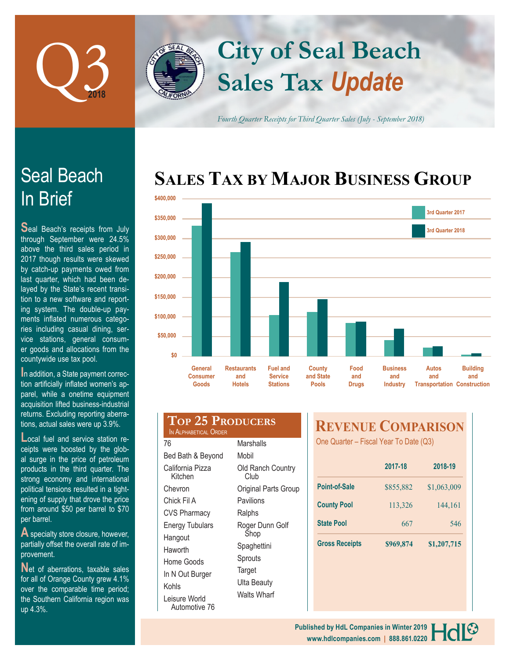

# In Brief Seal Beach

**S**eal Beach's receipts from July through September were 24.5% above the third sales period in 2017 though results were skewed by catch-up payments owed from last quarter, which had been delayed by the State's recent transition to a new software and reporting system. The double-up payments inflated numerous categories including casual dining, service stations, general consumer goods and allocations from the countywide use tax pool.

**In addition, a State payment correc**tion artificially inflated women's apparel, while a onetime equipment acquisition lifted business-industrial returns. Excluding reporting aberrations, actual sales were up 3.9%.

**Local fuel and service station re**ceipts were boosted by the global surge in the price of petroleum products in the third quarter. The strong economy and international political tensions resulted in a tightening of supply that drove the price from around \$50 per barrel to \$70 per barrel.

**A** specialty store closure, however, partially offset the overall rate of improvement.

**N**et of aberrations, taxable sales for all of Orange County grew 4.1% over the comparable time period; the Southern California region was up 4.3%.



*Fourth Quarter Receipts for Third Quarter Sales (July - September 2018)*

# **SALES TAX BY MAJOR BUSINESS GROUP**



| <b>TOP 25 PRODUCERS</b><br>IN ALPHABETICAL ORDER |                           |
|--------------------------------------------------|---------------------------|
| 76                                               | Marshalls                 |
| Bed Bath & Beyond                                | Mobil                     |
| California Pizza<br>Kitchen                      | Old Ranch Country<br>Club |
| Chevron                                          | Original Parts Group      |
| Chick Fil A                                      | Pavilions                 |
| <b>CVS Pharmacy</b>                              | Ralphs                    |
| <b>Energy Tubulars</b><br>Hangout                | Roger Dunn Golf<br>Shop   |
| Haworth                                          | Spaghettini               |
| Home Goods                                       | Sprouts                   |
| In N Out Burger                                  | Target                    |
| Kohls                                            | Ulta Beauty               |
| Leisure World<br>Automotive 76                   | Walts Wharf               |

# **REVENUE COMPARISON**

One Quarter – Fiscal Year To Date (Q3)

|                       | 2017-18   | 2018-19     |
|-----------------------|-----------|-------------|
| Point-of-Sale         | \$855,882 | \$1,063,009 |
| <b>County Pool</b>    | 113,326   | 144,161     |
| <b>State Pool</b>     | 667       | 546         |
| <b>Gross Receipts</b> | \$969,874 | \$1,207,715 |